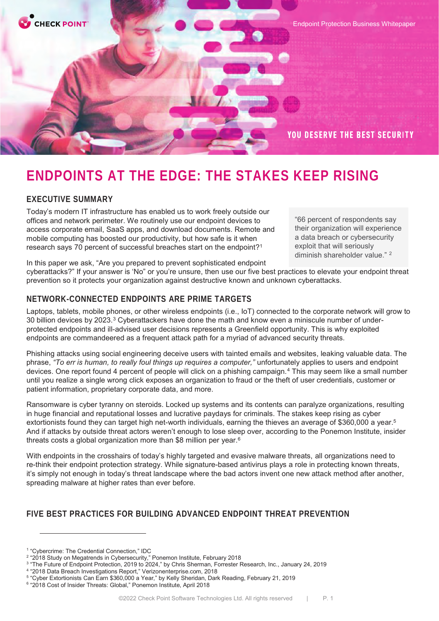

# **ENDPOINTS AT THE EDGE: THE STAKES KEEP RISING**

# **EXECUTIVE SUMMARY**

Today's modern IT infrastructure has enabled us to work freely outside our offices and network perimeter. We routinely use our endpoint devices to access corporate email, SaaS apps, and download documents. Remote and mobile computing has boosted our productivity, but how safe is it when research says 70 percent of successful breaches start on the endpoint?1

"66 percent of respondents say their organization will experience a data breach or cybersecurity exploit that will seriously diminish shareholder value." <sup>2</sup>

In this paper we ask, "Are you prepared to prevent sophisticated endpoint

cyberattacks?" If your answer is 'No" or you're unsure, then use our five best practices to elevate your endpoint threat prevention so it protects your organization against destructive known and unknown cyberattacks.*<sup>2</sup>*

# **NETWORK-CONNECTED ENDPOINTS ARE PRIME TARGETS**

Laptops, tablets, mobile phones, or other wireless endpoints (i.e., IoT) connected to the corporate network will grow to 30 billion devices by 2023.3 Cyberattackers have done the math and know even a miniscule number of underprotected endpoints and ill-advised user decisions represents a Greenfield opportunity. This is why exploited endpoints are commandeered as a frequent attack path for a myriad of advanced security threats.

Phishing attacks using social engineering deceive users with tainted emails and websites, leaking valuable data. The phrase, *"To err is human, to really foul things up requires a computer,"* unfortunately applies to users and endpoint devices. One report found 4 percent of people will click on a phishing campaign.<sup>4</sup> This may seem like a small number until you realize a single wrong click exposes an organization to fraud or the theft of user credentials, customer or patient information, proprietary corporate data, and more.

Ransomware is cyber tyranny on steroids. Locked up systems and its contents can paralyze organizations, resulting in huge financial and reputational losses and lucrative paydays for criminals. The stakes keep rising as cyber extortionists found they can target high net-worth individuals, earning the thieves an average of \$360,000 a year.5 And if attacks by outside threat actors weren't enough to lose sleep over, according to the Ponemon Institute, insider threats costs a global organization more than \$8 million per year.6

With endpoints in the crosshairs of today's highly targeted and evasive malware threats, all organizations need to re-think their endpoint protection strategy. While signature-based antivirus plays a role in protecting known threats, it's simply not enough in today's threat landscape where the bad actors invent one new attack method after another, spreading malware at higher rates than ever before.

# **FIVE BEST PRACTICES FOR BUILDING ADVANCED ENDPOINT THREAT PREVENTION**

<sup>1</sup> "Cybercrime: The Credential Connection," IDC

<sup>2</sup> "2018 Study on Megatrends in Cybersecurity," Ponemon Institute, February 2018

<sup>3</sup> "The Future of Endpoint Protection, 2019 to 2024," by Chris Sherman, Forrester Research, Inc., January 24, 2019

<sup>4</sup> "2018 Data Breach Investigations Report," Verizonenterprise.com, 2018

<sup>5</sup> "Cyber Extortionists Can Earn \$360,000 a Year," by Kelly Sheridan, Dark Reading, February 21, 2019

<sup>6</sup> "2018 Cost of Insider Threats: Global," Ponemon Institute, April 2018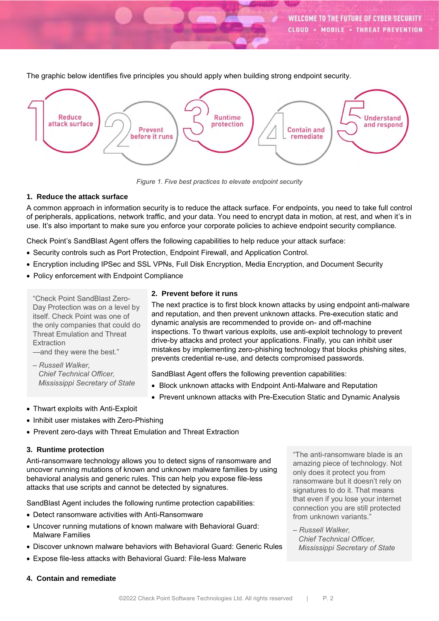The graphic below identifies five principles you should apply when building strong endpoint security.



*Figure 1. Five best practices to elevate endpoint security*

#### **1. Reduce the attack surface**

A common approach in information security is to reduce the attack surface. For endpoints, you need to take full control of peripherals, applications, network traffic, and your data. You need to encrypt data in motion, at rest, and when it's in use. It's also important to make sure you enforce your corporate policies to achieve endpoint security compliance.

Check Point's SandBlast Agent offers the following capabilities to help reduce your attack surface:

- Security controls such as Port Protection, Endpoint Firewall, and Application Control.
- Encryption including IPSec and SSL VPNs, Full Disk Encryption, Media Encryption, and Document Security
- Policy enforcement with Endpoint Compliance

"Check Point SandBlast Zero-Day Protection was on a level by itself. Check Point was one of the only companies that could do Threat Emulation and Threat **Extraction** 

- —and they were the best."
- *– Russell Walker, Chief Technical Officer, Mississippi Secretary of State*

## **2. Prevent before it runs**

The next practice is to first block known attacks by using endpoint anti-malware and reputation, and then prevent unknown attacks. Pre-execution static and dynamic analysis are recommended to provide on- and off-machine inspections. To thwart various exploits, use anti-exploit technology to prevent drive-by attacks and protect your applications. Finally, you can inhibit user mistakes by implementing zero-phishing technology that blocks phishing sites, prevents credential re-use, and detects compromised passwords.

SandBlast Agent offers the following prevention capabilities:

- Block unknown attacks with Endpoint Anti-Malware and Reputation
- Prevent unknown attacks with Pre-Execution Static and Dynamic Analysis
- Thwart exploits with Anti-Exploit
- Inhibit user mistakes with Zero-Phishing
- Prevent zero-days with Threat Emulation and Threat Extraction

#### **3. Runtime protection**

Anti-ransomware technology allows you to detect signs of ransomware and uncover running mutations of known and unknown malware families by using behavioral analysis and generic rules. This can help you expose file-less attacks that use scripts and cannot be detected by signatures.

SandBlast Agent includes the following runtime protection capabilities:

- Detect ransomware activities with Anti-Ransomware
- Uncover running mutations of known malware with Behavioral Guard: Malware Families
- Discover unknown malware behaviors with Behavioral Guard: Generic Rules
- Expose file-less attacks with Behavioral Guard: File-less Malware

"The anti-ransomware blade is an amazing piece of technology. Not only does it protect you from ransomware but it doesn't rely on signatures to do it. That means that even if you lose your internet connection you are still protected from unknown variants."

*– Russell Walker, Chief Technical Officer, Mississippi Secretary of State*

**4. Contain and remediate**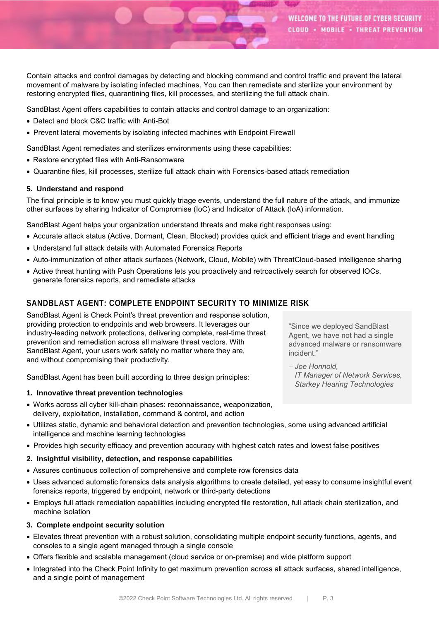Contain attacks and control damages by detecting and blocking command and control traffic and prevent the lateral movement of malware by isolating infected machines. You can then remediate and sterilize your environment by restoring encrypted files, quarantining files, kill processes, and sterilizing the full attack chain.

SandBlast Agent offers capabilities to contain attacks and control damage to an organization:

- Detect and block C&C traffic with Anti-Bot
- Prevent lateral movements by isolating infected machines with Endpoint Firewall

SandBlast Agent remediates and sterilizes environments using these capabilities:

- Restore encrypted files with Anti-Ransomware
- Quarantine files, kill processes, sterilize full attack chain with Forensics-based attack remediation

### **5. Understand and respond**

The final principle is to know you must quickly triage events, understand the full nature of the attack, and immunize other surfaces by sharing Indicator of Compromise (IoC) and Indicator of Attack (IoA) information.

SandBlast Agent helps your organization understand threats and make right responses using:

- Accurate attack status (Active, Dormant, Clean, Blocked) provides quick and efficient triage and event handling
- Understand full attack details with Automated Forensics Reports
- Auto-immunization of other attack surfaces (Network, Cloud, Mobile) with ThreatCloud-based intelligence sharing
- Active threat hunting with Push Operations lets you proactively and retroactively search for observed IOCs, generate forensics reports, and remediate attacks

# **SANDBLAST AGENT: COMPLETE ENDPOINT SECURITY TO MINIMIZE RISK**

SandBlast Agent is Check Point's threat prevention and response solution, providing protection to endpoints and web browsers. It leverages our industry-leading network protections, delivering complete, real-time threat prevention and remediation across all malware threat vectors. With SandBlast Agent, your users work safely no matter where they are, and without compromising their productivity.

SandBlast Agent has been built according to three design principles:

#### **1. Innovative threat prevention technologies**

- Works across all cyber kill-chain phases: reconnaissance, weaponization, delivery, exploitation, installation, command & control, and action
- Utilizes static, dynamic and behavioral detection and prevention technologies, some using advanced artificial intelligence and machine learning technologies
- Provides high security efficacy and prevention accuracy with highest catch rates and lowest false positives

## **2. Insightful visibility, detection, and response capabilities**

- Assures continuous collection of comprehensive and complete row forensics data
- Uses advanced automatic forensics data analysis algorithms to create detailed, yet easy to consume insightful event forensics reports, triggered by endpoint, network or third-party detections
- Employs full attack remediation capabilities including encrypted file restoration, full attack chain sterilization, and machine isolation

#### **3. Complete endpoint security solution**

- Elevates threat prevention with a robust solution, consolidating multiple endpoint security functions, agents, and consoles to a single agent managed through a single console
- Offers flexible and scalable management (cloud service or on-premise) and wide platform support
- Integrated into the Check Point Infinity to get maximum prevention across all attack surfaces, shared intelligence, and a single point of management

"Since we deployed SandBlast Agent, we have not had a single advanced malware or ransomware incident."

*– Joe Honnold, IT Manager of Network Services, Starkey Hearing Technologies*